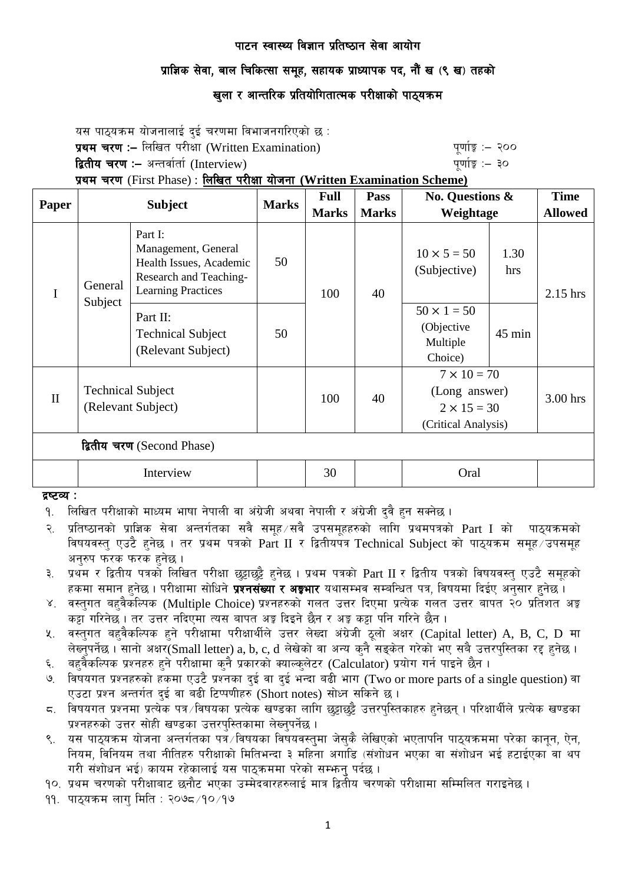## प्राज्ञिक सेवा, बाल चिकित्सा समुह, सहायक प्राध्यापक पद, नौं ख (९ ख) तहको

# खुला र आन्तरिक प्रतियोगितात्मक परीक्षाको पाठ्यक्र**म**

यस पाठ्यक्रम योजनालाई दुई चरणमा विभाजनगरिएको छ : प्रथम चरण :- लिखित परीक्षा (Written Examination) x 200 पुर्णाङ्क :- २०० द्वितीय चरण :– अन्तर्वार्ता (Interview) kan had a set of the set of the set of  $q$ णांङ्क :– ३० प्रथम चरण (First Phase) : लिखित परीक्षा योजना (Written Examination Scheme)

| Paper                      | <b>Subject</b>                                 |                                                                                                                  | <b>Marks</b> | <b>Full</b>  | Pass         | <b>No. Questions &amp;</b><br>Weightage                                          |             | <b>Time</b>    |
|----------------------------|------------------------------------------------|------------------------------------------------------------------------------------------------------------------|--------------|--------------|--------------|----------------------------------------------------------------------------------|-------------|----------------|
|                            |                                                |                                                                                                                  |              | <b>Marks</b> | <b>Marks</b> |                                                                                  |             | <b>Allowed</b> |
| I                          | General<br>Subject                             | Part I:<br>Management, General<br>Health Issues, Academic<br>Research and Teaching-<br><b>Learning Practices</b> | 50           | 100          | 40           | $10 \times 5 = 50$<br>(Subjective)                                               | 1.30<br>hrs | $2.15$ hrs     |
|                            |                                                | Part II:<br><b>Technical Subject</b><br>(Relevant Subject)                                                       | 50           |              |              | $50 \times 1 = 50$<br>(Objective<br>Multiple<br>Choice)                          | 45 min      |                |
| $\mathbf{I}$               | <b>Technical Subject</b><br>(Relevant Subject) |                                                                                                                  |              | 100          | 40           | $7 \times 10 = 70$<br>(Long answer)<br>$2 \times 15 = 30$<br>(Critical Analysis) |             | $3.00$ hrs     |
| द्वितीय चरण (Second Phase) |                                                |                                                                                                                  |              |              |              |                                                                                  |             |                |
|                            | Interview                                      |                                                                                                                  |              | 30           |              | Oral                                                                             |             |                |

#### द्रष्टव्य :

- <u>9. लिखित परीक्षाको माध्यम भाषा नेपाली वा अंग्रेजी अथवा नेपाली र अंग्रेजी दुवै हुन सक्नेछ ।</u>
- २. प्रतिष्ठानको प्राज्ञिक सेवा अन्तर्गतका सवै समह ∕सवै उपसमहहरुको लागि प्रथमपत्रको Part I को पाठयक्रमको विषयवस्त् एउटै हुनेछ । तर प्रथम पत्रको Part II र द्वितीयपत्र Technical Subject को पाठ्यक्रम समूह उपसमूह अनरुप फरक फरक हनेछ ।
- ३. प्रथम र द्वितीय पत्रको लिखित परीक्षा छट्टाछट्टै हनेछ । प्रथम पत्रको Part II र द्वितीय पत्रको विषयवस्त् एउटै समुहको हकमा समान हुनेछ । परीक्षामा सोधिने **प्रश्नसंख्या र अङ्गभार** यथासम्भव सम्बन्धित पत्र, विषयमा दिईए अनुसार हुनेछ ।
- ४. वस्तगत बहवैकस्पिक (Multiple Choice) प्रश्नहरुको गलत उत्तर दिएमा प्रत्येक गलत उत्तर बापत २० प्रतिशत अङ्क कट्टा गरिनेछ । तर उत्तर नदिएमा त्यस बापत अङ्ग दिइने छैन र अङ्ग कट्टा पनि गरिने छैन ।
- x. वस्तुगत बहवैकल्पिक हुने परीक्षामा परीक्षार्थीले उत्तर लेख्दा अंग्रेजी ठूलो अक्षर (Capital letter) A, B, C, D मा लेख्नुपर्नेछ। सानो अक्षर $(Small$  letter) a, b, c, d लेखेको वा अन्य कुनै सङ्केत गरेको भए सबै उत्तरपुस्तिका रद्द हुनेछ।
- ६. वहवैकल्पिक प्रश्नहरु हुने परीक्षामा कुनै प्रकारको क्याल्कलेटर (Calculator) प्रयोग गर्न पाइने छैन ।
- 7. little kizdf and the Cabin and Cabin and Cabin and Cabin and the parts of a single question) वा विषयगत प्रश्नहरुको हकमा एउटै प्रश्नका दुई वा दुई भन्दा बढी भाग (Two or more parts of a single question) वा एउटा प्रश्न अन्तर्गत दुई वा बढी टिप्पणीहरु (Short notes) सोध्न सकिने छ।
- $\,$ द. विषयगत प्रश्नमा प्रत्येक पत्र विषयका प्रत्येक खण्डका लागि छट्टाछट्टै उत्तरपस्तिकाहरु हनेछन् । परिक्षार्थीले प्रत्येक खण्डका प्रश्नहरुको उत्तर सोही खण्डका उत्तरपस्तिकामा लेख्नुपर्नेछ ।
- 9. o; kf7\oqma ofinitor = 5. ofinitoriis<br>९. यस पाठ्यक्रम योजना अन्तर्गतका पत्र ∕विषयका विषयवस्तुमा जेसुकै लेखिएको भएतापनि पाठ्यक्रममा परेका कानून, ऐन, नियम, विनियम तथा नीतिहरु परीक्षाको मितिभन्दा ३ महिना अगाडि (संशोधन भएका वा संशोधन भई हटाईएका वा थप गरी संशोधन भई) कायम रहेकालाई यस पाठकममा परेको सम्भन पर्दछ ।

१०. प्रथम चरणको परीक्षाबाट छनौट भएका उम्मेदवारहरुलाई मात्र द्वितीय चरणको परीक्षामा सम्मिलित गराइनेछ ।

 $99.$  पाठयक्रम लाग मिति : २०७८ $/9$ ० $/9$ ७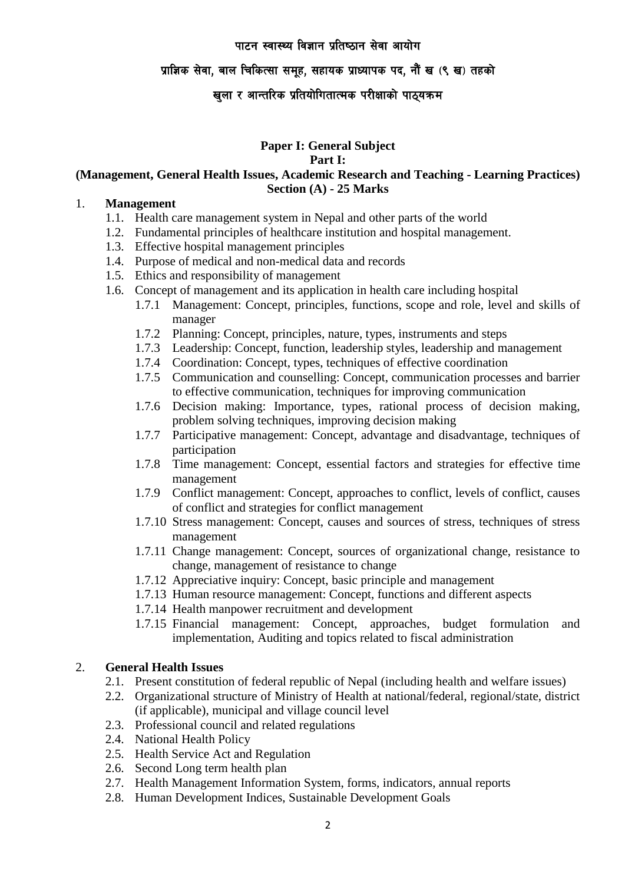## प्राज्ञिक सेवा, बाल चिकित्सा समुह, सहायक प्राध्यापक पद, नौं ख (९ ख) तहको

# खुला र आन्तरिक प्रतियोगितात्मक परीक्षाको पाठ्यक्रम

### **Paper I: General Subject**

#### **Part I:**

#### **(Management, General Health Issues, Academic Research and Teaching - Learning Practices) Section (A) - 25 Marks**

#### 1. **Management**

- 1.1. Health care management system in Nepal and other parts of the world
- 1.2. Fundamental principles of healthcare institution and hospital management.
- 1.3. Effective hospital management principles
- 1.4. Purpose of medical and non-medical data and records
- 1.5. Ethics and responsibility of management
- 1.6. Concept of management and its application in health care including hospital
	- 1.7.1 Management: Concept, principles, functions, scope and role, level and skills of manager
		- 1.7.2 Planning: Concept, principles, nature, types, instruments and steps
		- 1.7.3 Leadership: Concept, function, leadership styles, leadership and management
		- 1.7.4 Coordination: Concept, types, techniques of effective coordination
		- 1.7.5 Communication and counselling: Concept, communication processes and barrier to effective communication, techniques for improving communication
		- 1.7.6 Decision making: Importance, types, rational process of decision making, problem solving techniques, improving decision making
		- 1.7.7 Participative management: Concept, advantage and disadvantage, techniques of participation
		- 1.7.8 Time management: Concept, essential factors and strategies for effective time management
		- 1.7.9 Conflict management: Concept, approaches to conflict, levels of conflict, causes of conflict and strategies for conflict management
		- 1.7.10 Stress management: Concept, causes and sources of stress, techniques of stress management
		- 1.7.11 Change management: Concept, sources of organizational change, resistance to change, management of resistance to change
		- 1.7.12 Appreciative inquiry: Concept, basic principle and management
		- 1.7.13 Human resource management: Concept, functions and different aspects
		- 1.7.14 Health manpower recruitment and development
		- 1.7.15 Financial management: Concept, approaches, budget formulation and implementation, Auditing and topics related to fiscal administration

### 2. **General Health Issues**

- 2.1. Present constitution of federal republic of Nepal (including health and welfare issues)
- 2.2. Organizational structure of Ministry of Health at national/federal, regional/state, district (if applicable), municipal and village council level
- 2.3. Professional council and related regulations
- 2.4. National Health Policy
- 2.5. Health Service Act and Regulation
- 2.6. Second Long term health plan
- 2.7. Health Management Information System, forms, indicators, annual reports
- 2.8. Human Development Indices, Sustainable Development Goals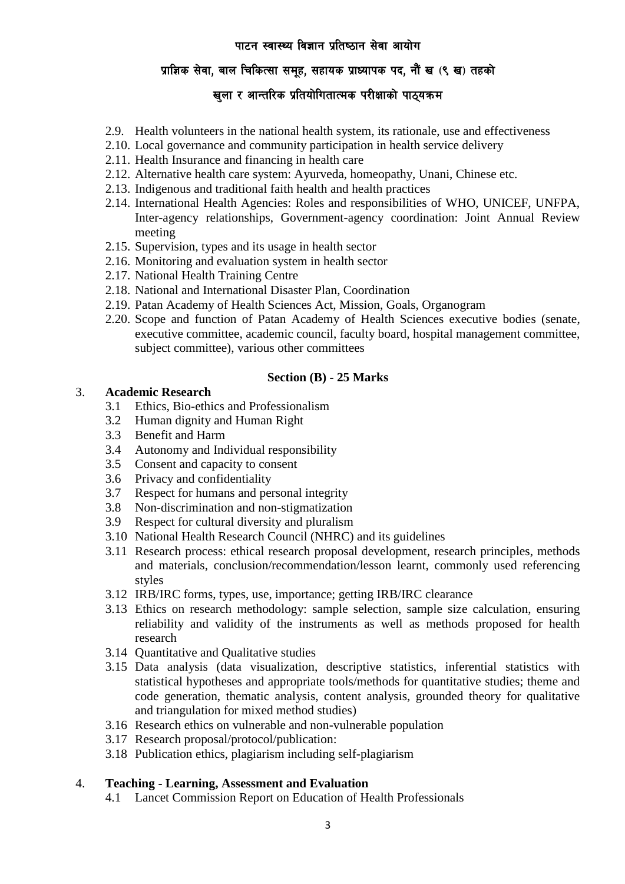# <u>प्रा</u>ज्ञिक सेवा, बाल चिकित्सा समूह, सहायक प्राध्यापक पद, नौं ख (९ ख) तहको

# खुला र आन्तरिक प्रतियोगितात्मक परीक्षाको पाठ्यक्रम

- 2.9. Health volunteers in the national health system, its rationale, use and effectiveness
- 2.10. Local governance and community participation in health service delivery
- 2.11. Health Insurance and financing in health care
- 2.12. Alternative health care system: Ayurveda, homeopathy, Unani, Chinese etc.
- 2.13. Indigenous and traditional faith health and health practices
- 2.14. International Health Agencies: Roles and responsibilities of WHO, UNICEF, UNFPA, Inter-agency relationships, Government-agency coordination: Joint Annual Review meeting
- 2.15. Supervision, types and its usage in health sector
- 2.16. Monitoring and evaluation system in health sector
- 2.17. National Health Training Centre
- 2.18. National and International Disaster Plan, Coordination
- 2.19. Patan Academy of Health Sciences Act, Mission, Goals, Organogram
- 2.20. Scope and function of Patan Academy of Health Sciences executive bodies (senate, executive committee, academic council, faculty board, hospital management committee, subject committee), various other committees

### **Section (B) - 25 Marks**

### 3. **Academic Research**

- 3.1 Ethics, Bio-ethics and Professionalism
- 3.2 Human dignity and Human Right
- 3.3 Benefit and Harm
- 3.4 Autonomy and Individual responsibility
- 3.5 Consent and capacity to consent
- 3.6 Privacy and confidentiality
- 3.7 Respect for humans and personal integrity
- 3.8 Non-discrimination and non-stigmatization
- 3.9 Respect for cultural diversity and pluralism
- 3.10 National Health Research Council (NHRC) and its guidelines
- 3.11 Research process: ethical research proposal development, research principles, methods and materials, conclusion/recommendation/lesson learnt, commonly used referencing styles
- 3.12 IRB/IRC forms, types, use, importance; getting IRB/IRC clearance
- 3.13 Ethics on research methodology: sample selection, sample size calculation, ensuring reliability and validity of the instruments as well as methods proposed for health research
- 3.14 Quantitative and Qualitative studies
- 3.15 Data analysis (data visualization, descriptive statistics, inferential statistics with statistical hypotheses and appropriate tools/methods for quantitative studies; theme and code generation, thematic analysis, content analysis, grounded theory for qualitative and triangulation for mixed method studies)
- 3.16 Research ethics on vulnerable and non-vulnerable population
- 3.17 Research proposal/protocol/publication:
- 3.18 Publication ethics, plagiarism including self-plagiarism

#### 4. **Teaching - Learning, Assessment and Evaluation**

4.1 Lancet Commission Report on Education of Health Professionals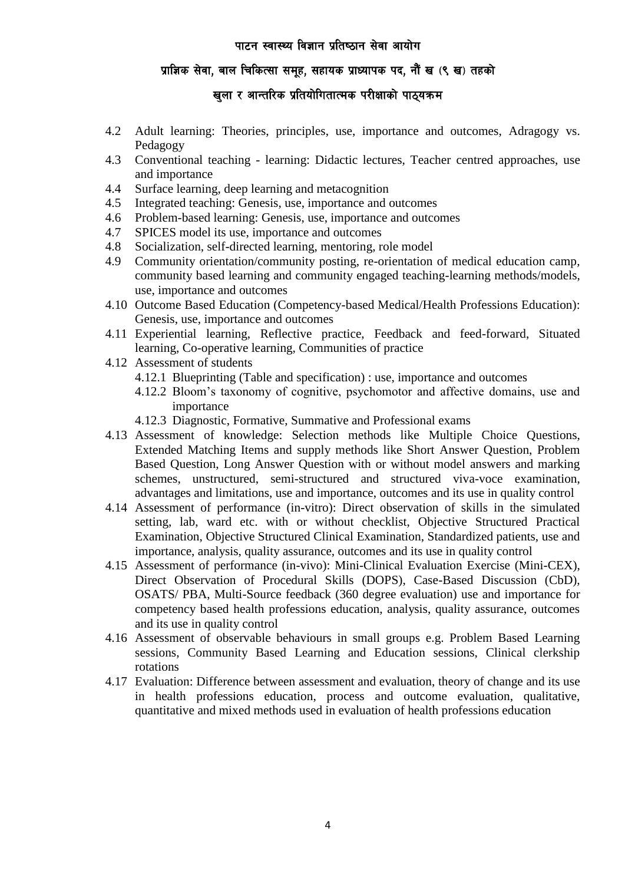# प्राज्ञिक सेवा, बाल चिकित्सा समूह, सहायक प्राध्यापक पद, नौं ख (९ ख) तहको

# खुला र आन्तरिक प्रतियोगितात्मक परीक्षाको पाठ्यक्रम

- 4.2 Adult learning: Theories, principles, use, importance and outcomes, Adragogy vs. Pedagogy
- 4.3 Conventional teaching learning: Didactic lectures, Teacher centred approaches, use and importance
- 4.4 Surface learning, deep learning and metacognition
- 4.5 Integrated teaching: Genesis, use, importance and outcomes
- 4.6 Problem-based learning: Genesis, use, importance and outcomes
- 4.7 SPICES model its use, importance and outcomes
- 4.8 Socialization, self-directed learning, mentoring, role model
- 4.9 Community orientation/community posting, re-orientation of medical education camp, community based learning and community engaged teaching-learning methods/models, use, importance and outcomes
- 4.10 Outcome Based Education (Competency-based Medical/Health Professions Education): Genesis, use, importance and outcomes
- 4.11 Experiential learning, Reflective practice, Feedback and feed-forward, Situated learning, Co-operative learning, Communities of practice
- 4.12 Assessment of students
	- 4.12.1 Blueprinting (Table and specification) : use, importance and outcomes
	- 4.12.2 Bloom's taxonomy of cognitive, psychomotor and affective domains, use and importance
	- 4.12.3 Diagnostic, Formative, Summative and Professional exams
- 4.13 Assessment of knowledge: Selection methods like Multiple Choice Questions, Extended Matching Items and supply methods like Short Answer Question, Problem Based Question, Long Answer Question with or without model answers and marking schemes, unstructured, semi-structured and structured viva-voce examination, advantages and limitations, use and importance, outcomes and its use in quality control
- 4.14 Assessment of performance (in-vitro): Direct observation of skills in the simulated setting, lab, ward etc. with or without checklist, Objective Structured Practical Examination, Objective Structured Clinical Examination, Standardized patients, use and importance, analysis, quality assurance, outcomes and its use in quality control
- 4.15 Assessment of performance (in-vivo): Mini-Clinical Evaluation Exercise (Mini-CEX), Direct Observation of Procedural Skills (DOPS), Case-Based Discussion (CbD), OSATS/ PBA, Multi-Source feedback (360 degree evaluation) use and importance for competency based health professions education, analysis, quality assurance, outcomes and its use in quality control
- 4.16 Assessment of observable behaviours in small groups e.g. Problem Based Learning sessions, Community Based Learning and Education sessions, Clinical clerkship rotations
- 4.17 Evaluation: Difference between assessment and evaluation, theory of change and its use in health professions education, process and outcome evaluation, qualitative, quantitative and mixed methods used in evaluation of health professions education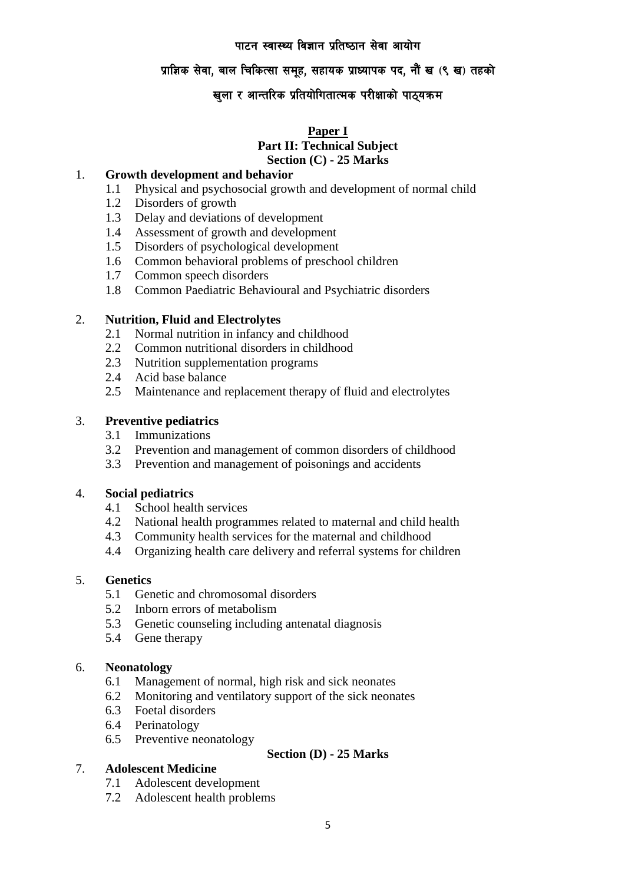# प्राज्ञिक सेवा, बाल चिकित्सा समुह, सहायक प्राध्यापक पद, नौं ख (९ ख) तहको

# खुला र आन्तरिक प्रतियोगितात्मक परीक्षाको पाठ्यक्रम

### **Paper I Part II: Technical Subject Section (C) - 25 Marks**

### 1. **Growth development and behavior**

- 1.1 Physical and psychosocial growth and development of normal child
- 1.2 Disorders of growth
- 1.3 Delay and deviations of development
- 1.4 Assessment of growth and development
- 1.5 Disorders of psychological development
- 1.6 Common behavioral problems of preschool children
- 1.7 Common speech disorders
- 1.8 Common Paediatric Behavioural and Psychiatric disorders

### 2. **Nutrition, Fluid and Electrolytes**

- 2.1 Normal nutrition in infancy and childhood
- 2.2 Common nutritional disorders in childhood
- 2.3 Nutrition supplementation programs
- 2.4 Acid base balance
- 2.5 Maintenance and replacement therapy of fluid and electrolytes

### 3. **Preventive pediatrics**

- 3.1 Immunizations
- 3.2 Prevention and management of common disorders of childhood
- 3.3 Prevention and management of poisonings and accidents

#### 4. **Social pediatrics**

- 4.1 School health services
- 4.2 National health programmes related to maternal and child health
- 4.3 Community health services for the maternal and childhood
- 4.4 Organizing health care delivery and referral systems for children

#### 5. **Genetics**

- 5.1 Genetic and chromosomal disorders
- 5.2 Inborn errors of metabolism
- 5.3 Genetic counseling including antenatal diagnosis
- 5.4 Gene therapy

#### 6. **Neonatology**

- 6.1 Management of normal, high risk and sick neonates
- 6.2 Monitoring and ventilatory support of the sick neonates
- 6.3 Foetal disorders
- 6.4 Perinatology
- 6.5 Preventive neonatology

### **Section (D) - 25 Marks**

#### 7. **Adolescent Medicine**

- 7.1 Adolescent development
- 7.2 Adolescent health problems